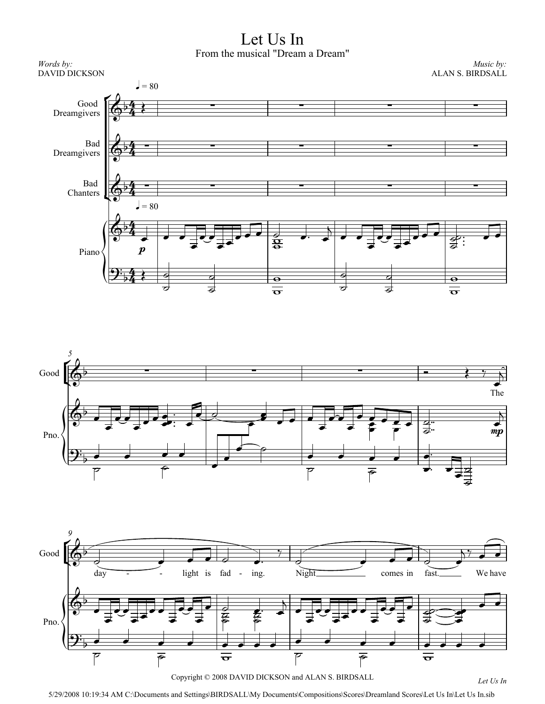Let Us In From the musical "Dream a Dream"

4  $\frac{4}{4}$ 4  $\frac{4}{4}$ 4  $\frac{4}{4}$ 4  $\frac{4}{4}$ 4  $\frac{4}{4}$  $= 80$  $\mathsf{J} = 80$ Words by: DAVID DICKSON Music by: ALAN S. BIRDSALL Good Dreamgivers Bad Dreamgivers Bad Chanters Piano  $\mathsf{K}$ ľ  $\phi$  ,  $\frac{1}{4}$  ,  $\frac{1}{4}$  ,  $\frac{1}{4}$  ,  $\frac{1}{4}$  ,  $\frac{1}{4}$  ,  $\frac{1}{4}$  ,  $\frac{1}{4}$  ,  $\frac{1}{4}$  ,  $\frac{1}{4}$  ,  $\frac{1}{4}$  ,  $\frac{1}{4}$  ,  $\frac{1}{4}$  ,  $\frac{1}{4}$  ,  $\frac{1}{4}$  ,  $\frac{1}{4}$  ,  $\frac{1}{4}$  ,  $\frac{1}{4}$  ,  $\frac{1}{4}$   $\oint_0^{\frac{1}{2}}$  and  $\oint_0^{\frac{1}{2}}$  and  $\oint_0^{\frac{1}{2}}$  and  $\oint_0^{\frac{1}{2}}$  and  $\oint_0^{\frac{1}{2}}$  and  $\oint_0^{\frac{1}{2}}$  and  $\oint_0^{\frac{1}{2}}$  and  $\oint_0^{\frac{1}{2}}$  and  $\oint_0^{\frac{1}{2}}$  and  $\oint_0^{\frac{1}{2}}$  and  $\oint_0^{\frac{1}{2}}$  and  $\oint_0^{\frac{1}{2$   $\overline{\mathbb{Q}^{\flat}}$  $\boldsymbol{p}$  $\overline{\phantom{a}}$  $\overline{\phantom{a}}$ J.,  $\overline{\phantom{a}}$  $\overline{\phantom{a}}$  $\frac{1}{\sqrt{2}}$  $\overrightarrow{ }$  $\overline{1}$  $\overline{\phantom{a}}$  $\overline{\phantom{a}}$  $\overline{\cdot}$  $\overline{\phantom{a}}$  $\overline{\phantom{a}}$  $\overline{\phantom{a}}$  $\frac{a}{b}$  $\overline{\mathscr{P}}$  :  $\frac{1}{2}$  $\overline{\phantom{a}}$  $\overline{\cdot}$  $\mathfrak{P}_{\flat}$ ≹  $\exists$  $\frac{1}{2}$  $\frac{1}{2}$  $\overline{\phantom{0}}$  $\overline{\sigma}$  $\overline{\mathbf{e}}$  $\exists$  $\frac{1}{2}$  $\frac{1}{2}$  $\overline{\phantom{a}}$  $\overline{\overline{\mathbf{o}}}$  $\overline{\mathbf{e}}$ 





Copyright © 2008 DAVID DICKSON and ALAN S. BIRDSALL

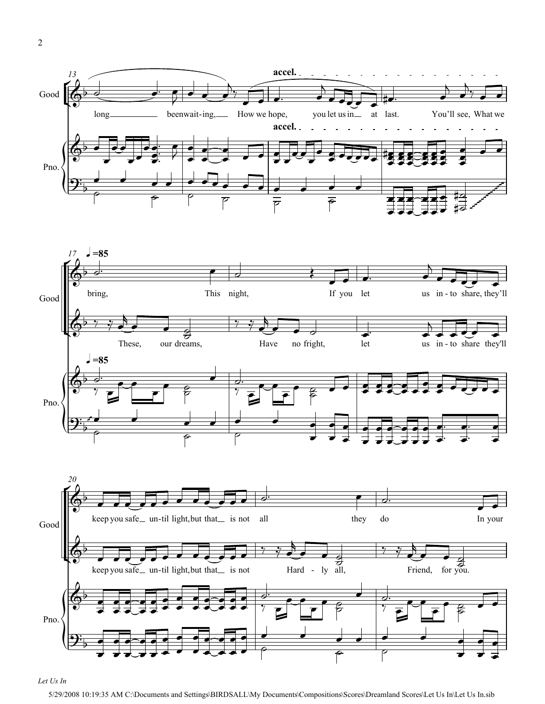



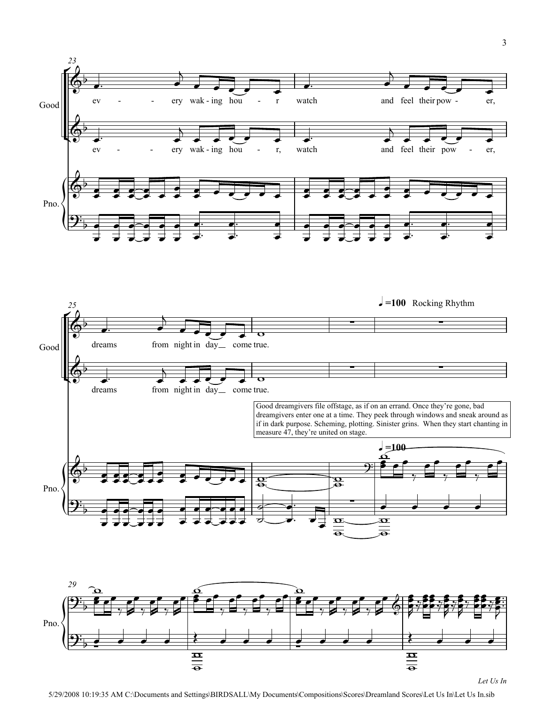

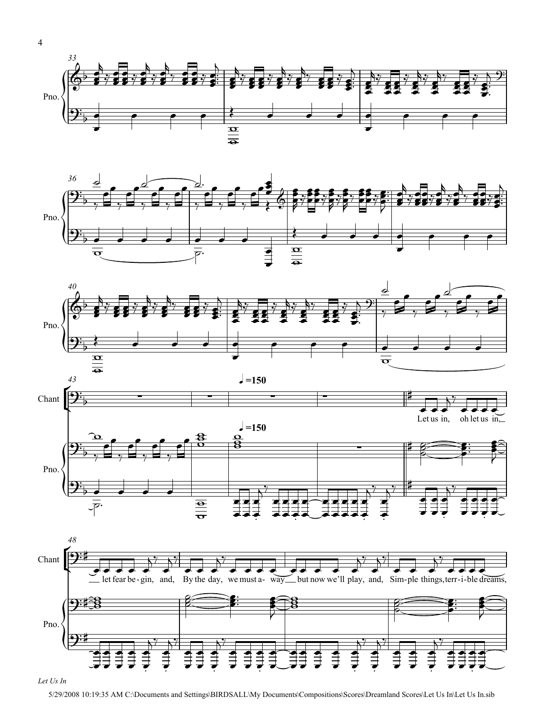









Let Us In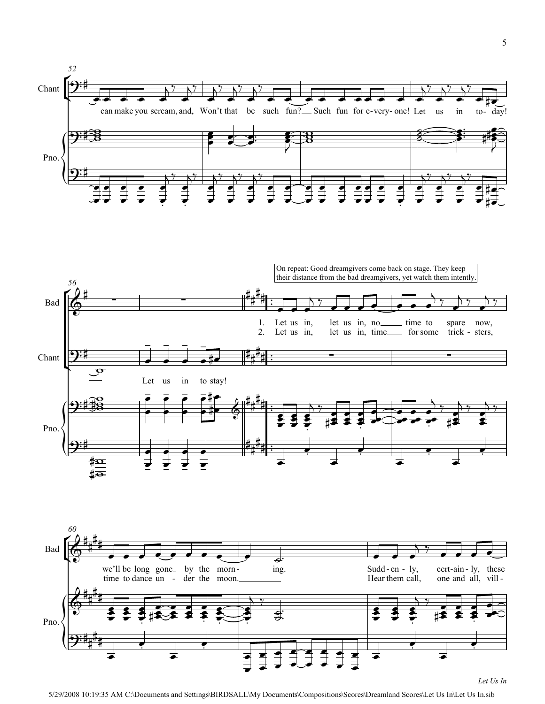





<sup>5/29/2008 10:19:35</sup> AM C:\Documents and Settings\BIRDSALL\My Documents\Compositions\Scores\Dreamland Scores\Let Us In\Let Us In.sib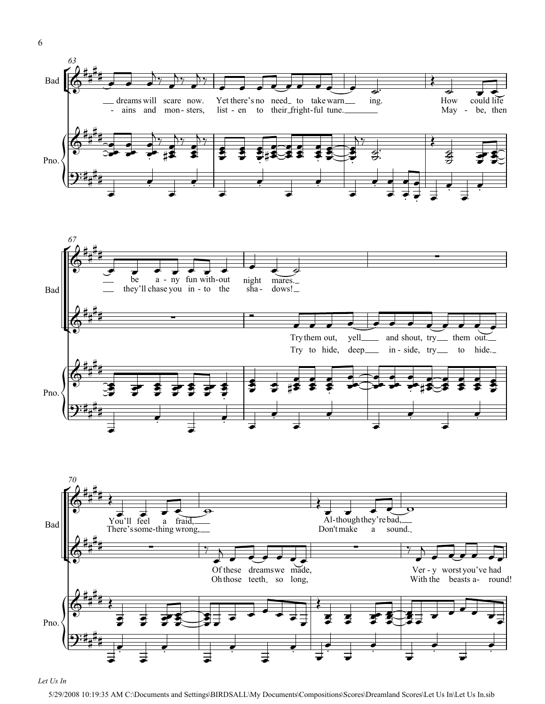

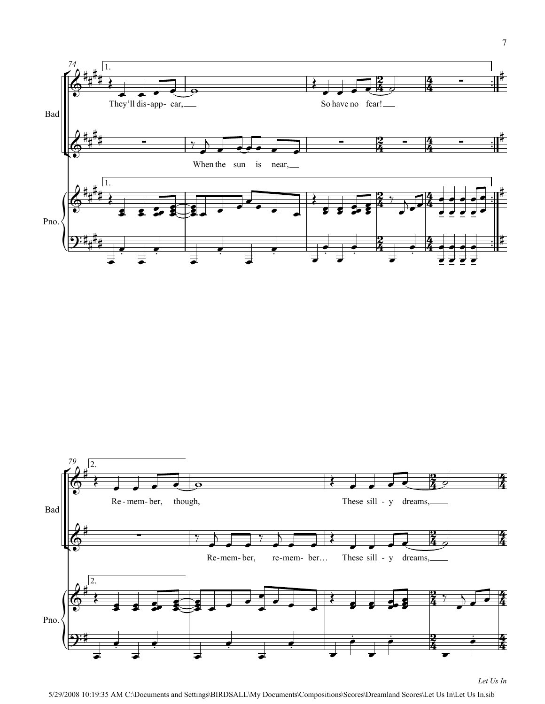

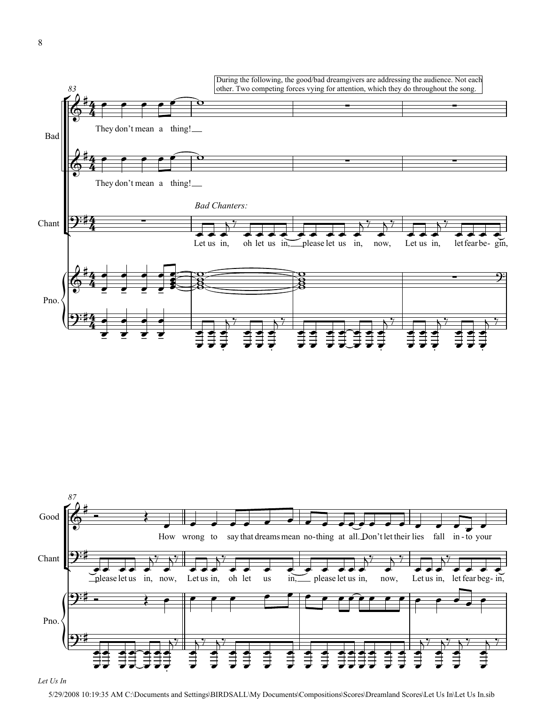

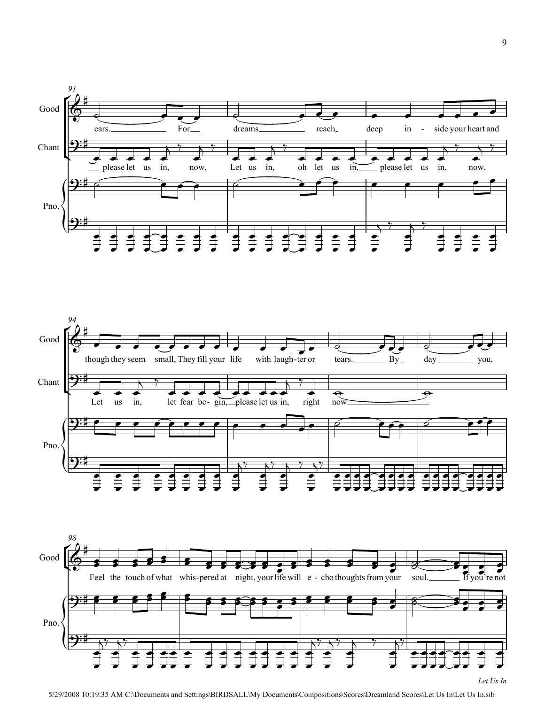



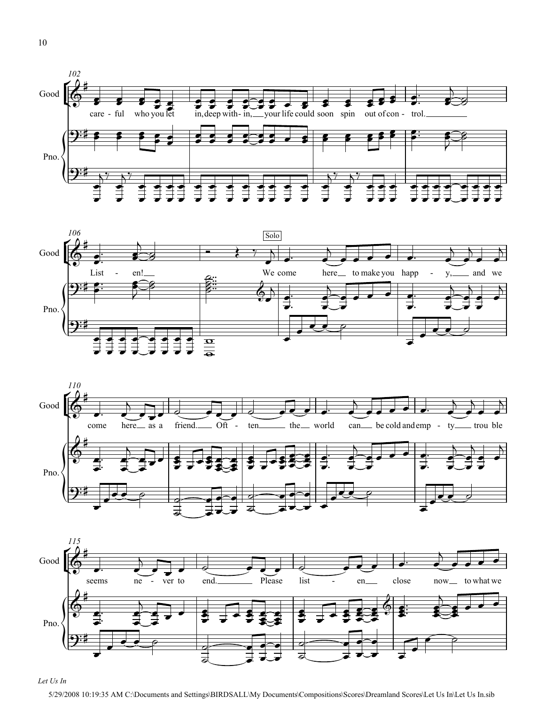





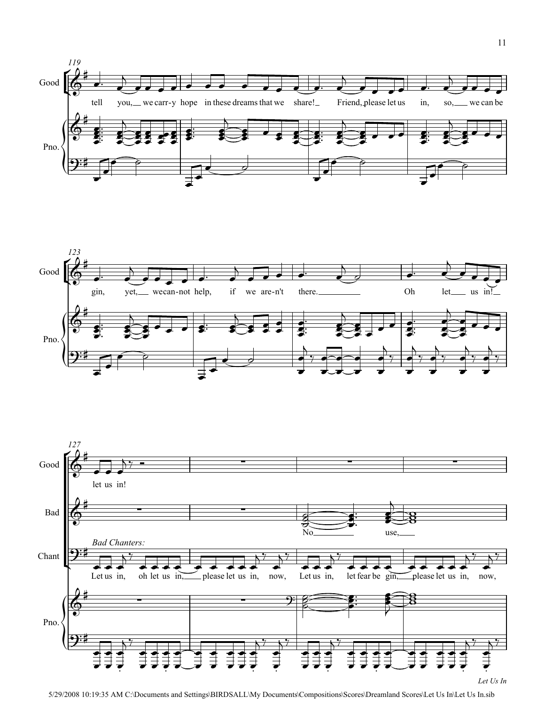



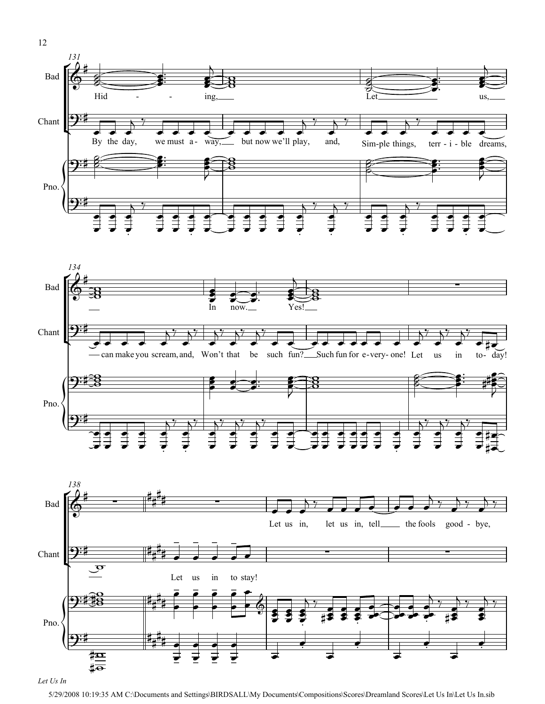





12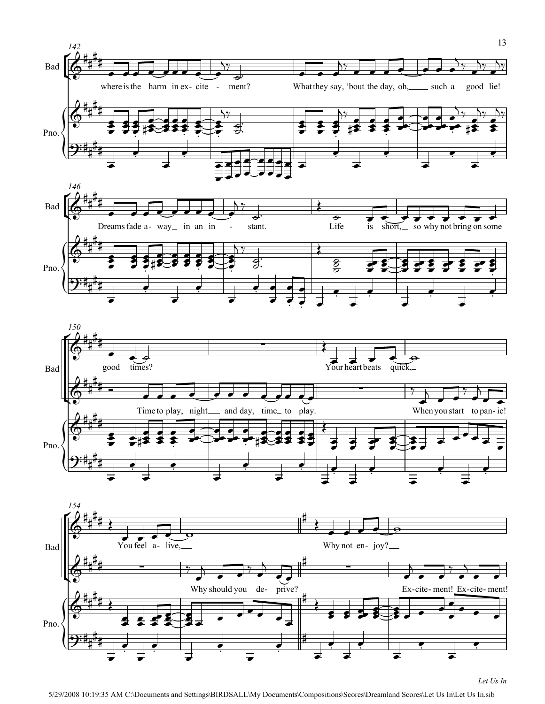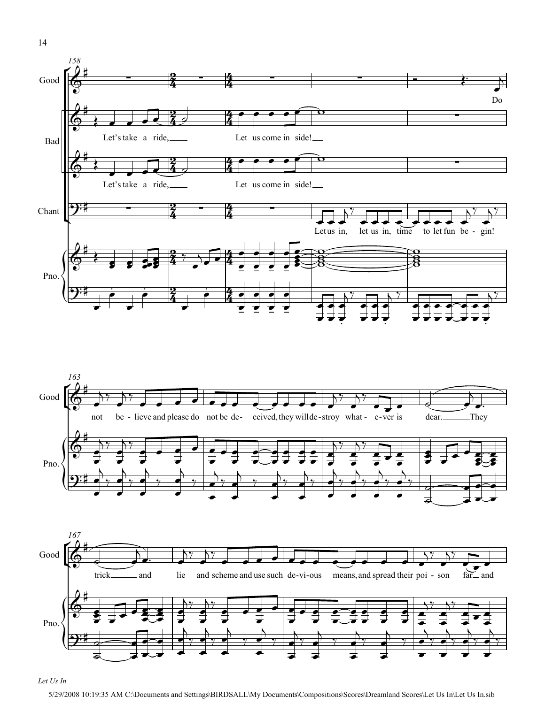





5/29/2008 10:19:35 AM C:\Documents and Settings\BIRDSALL\My Documents\Compositions\Scores\Dreamland Scores\Let Us In\Let Us In.sib

14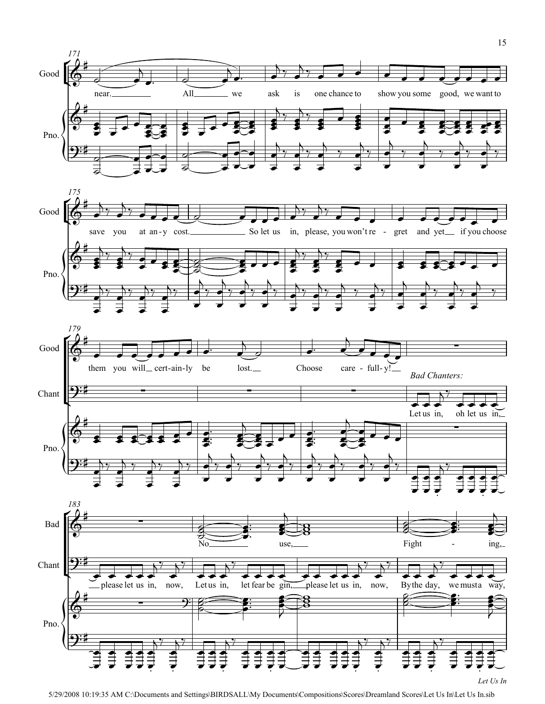

<sup>5/29/2008 10:19:35</sup> AM C:\Documents and Settings\BIRDSALL\My Documents\Compositions\Scores\Dreamland Scores\Let Us In\Let Us In.sib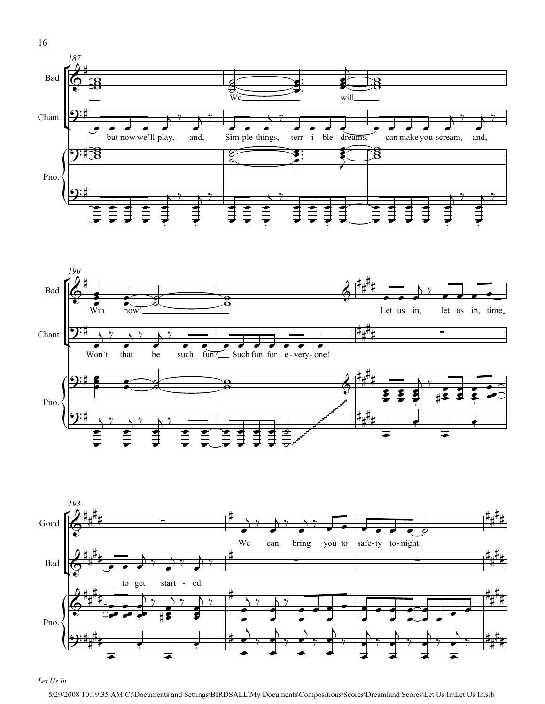